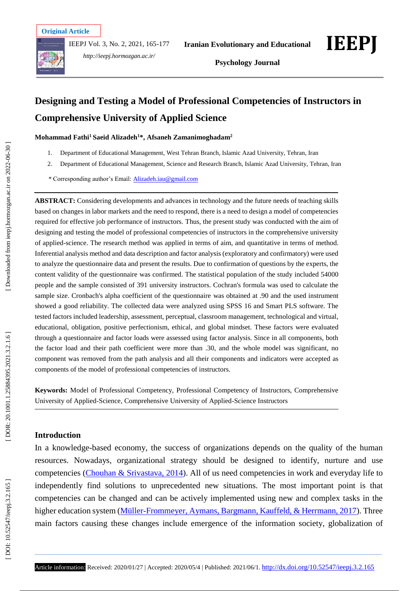IEEPJ Vol. 3, No. 2, 2021, 165 -177



*http://ieepj.hormozgan.ac.ir/*



# **Designing and Testing a Model of Professional Competencies of Instructors in Comprehensive University of Applied Science**

**Mohammad Fathi <sup>1</sup> Saeid Alizadeh <sup>1</sup>\*, Afsaneh Zamanimoghadam 2**

- $1<sub>1</sub>$ . Department of Educational Management, West Tehran Branch, Islamic Azad University, Tehran, Iran
- 2 . Department of Educational Management, Science and Research Branch , Islamic Azad University, Tehran, Iran
- \* Corresponding author's Email[: Alizadeh.iau@gmail.com](mailto:Alizadeh.iau@gmail.com)

**ABSTRACT:** Considering developments and advances in technology and the future needs of teaching skills based on changes in labor markets and the need to respond, there is a need to design a model of competencies required for effective job performance of instructors. Thus, the present study was conducted with the aim of designing and testing the model of professional competencies of instructors in the comprehensive university of applied -science. The research method was applied in terms of aim , and quantitative in terms of method. Inferential analysis method and data description and factor analysis (exploratory and confirmatory) were used to analyze the questionnaire data and present the results. Due to confirmation of questions by the experts, the content validity of the questionnaire was confirmed. The statistical population of the study included 54000 people and the sample consisted of 391 university instructors. Cochran's formula was used to calculate the sample size. Cronbach's alpha coefficient of the questionnaire was obtained at .90 and the used instrument showed a good reliability. The collected data were analyzed using SPSS 16 and Smart PLS software. The tested factors included leadership, assessment, perceptual, classroom management, technological and virtual, educational, obligation, positive perfectionism, ethical, and global mindset. These factors were evaluated through a questionnaire and factor loads were assessed using factor analysis. Since in all components, both the factor load and their path coefficient were more than .30, and the whole model was significant, no component was removed from the path analysis and all their components and indicators were accepted as components of the model of professional competencies of instructors.

**Keywords:** Model of Professional Competency, Professional Competency of Instructors, Comprehensive University of Applied -Science, Comprehensive University of Applied -Science Instructors

#### **Introduction**

In a knowledge -based economy, the success of organizations depends on the quality of the human resources. Nowadays, organizational strategy should be designed to identify, nurture and use competencies (Chouhan & Srivastava, 2014). All of us need competencies in work and everyday life to independently find solutions to unprecedented new situations. The most important point is that competencies can be changed and can be actively implemented using new and complex tasks in the higher education system (*Müller-Frommeyer, Aymans, Bargmann, Kauffeld, & Herrmann, 2017*). Three main factors causing these changes include emergence of the information society, globalization of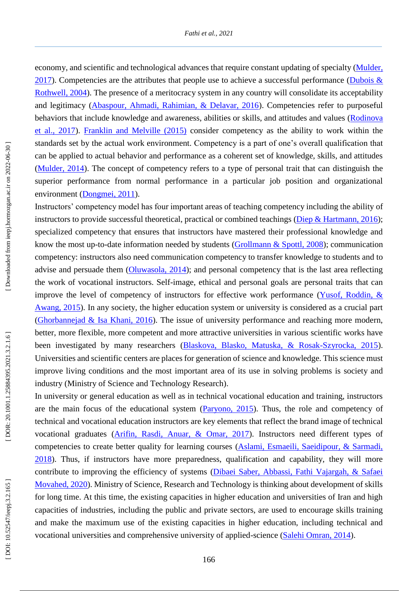economy, and scientific and technological advances that require constant updating of specialty (Mulder,  $2017$ ). Competencies are the attributes that people use to achieve a successful performance (*Dubois &* Rothwell, 2004). The presence of a meritocracy system in any country will consolidate its acceptability and legitimacy (Abaspour, Ahmadi, Rahimian, & Delavar, 2016). Competencies refer to purposeful behaviors that include knowledge and awareness, abilities or skills, and attitudes and values (Rodinova et al., 2017). Franklin and Melville (2015) consider competency as the ability to work within the standards set by the actual work environment. Competency is a part of one's overall qualification that can be applied to actual behavior and performance as a coherent set of knowledge, skills, and attitudes (Mulder, 2014). The concept of competency refers to a type of personal trait that can distinguish the superior performance from normal performance in a particular job position and organizational environment (Dongmei, 2011).

Instructors' competency model has four important areas of teaching competency including the ability of instructors to provide successful theoretical, practical or combined teachings (Diep & Hartmann, 2016); specialized competency that ensures that instructors have mastered their professional knowledge and know the most up-to-date information needed by students (Grollmann & Spottl, 2008); communication competency: instructors also need communication competency to transfer knowledge to students and to advise and persuade them (Oluwasola, 2014); and personal competency that is the last area reflecting the work of vocational instructors. Self -image, ethical and personal goals are personal traits that can improve the level of competency of instructors for effective work performance (Yusof, Roddin, & Awang, 2015). In any society, the higher education system or university is considered as a crucial part (Ghorbannejad & Isa Khani, 2016). The issue of university performance and reaching more modern, better, more flexible, more competent and more attractive universities in various scientific works have been investigated by many researchers (Blaskova, Blasko, Matuska, & Rosak-Szyrocka, 2015). Universities and scientific centers are places for generation of science and knowledge. This science must improve living conditions and the most important area of its use in solving problems is society and industry (Ministry of Science and Technology Research).

In university or general education as well as in technical vocational education and training, instructors are the main focus of the educational system (Paryono, 2015). Thus, the role and competency of technical and vocational education instructors are key elements that reflect the brand image of technical vocational graduates (Arifin, Rasdi, Anuar, & Omar, 2017). Instructors need different types of competencies to create better quality for learning courses (Aslami, Esmaeili, Saeidipour, & Sarmadi, 2018). Thus, if instructors have more preparedness, qualification and capability, they will more contribute to improving the efficiency of systems (Dibaei Saber, Abbassi, Fathi Vajargah, & Safaei Movahed, 2020). Ministry of Science, Research and Technology is thinking about development of skills for long time. At this time, the existing capacities in higher education and universities of Iran and high capacities of industries, including the public and private sectors, are used to encourage skills training and make the maximum use of the existing capacities in higher education, including technical and vocational universities and comprehensive university of applied-science (Salehi Omran, 2014).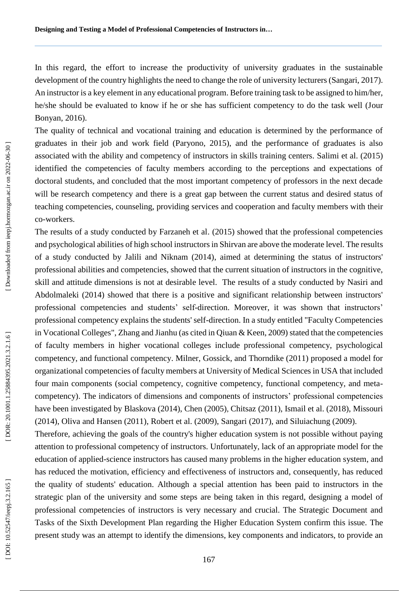In this regard, the effort to increase the productivity of university graduates in the sustainable development of the country highlights the need to change the role of university lecturers (Sangari, 2017). An instructor is a key element in any educational program. Before training task to be assigned to him/her, he/she should be evaluated to know if he or she has sufficient competency to do the task well (Jour Bonyan, 2016).

The quality of technical and vocational training and education is determined by the performance of graduates in their job and work field (Paryono, 2015), and the performance of graduates is also associated with the ability and competency of instructors in skills training centers. Salimi et al . (2015) identified the competencies of faculty members according to the perceptions and expectations of doctoral students , and concluded that the most important competency of professors in the next decade will be research competency and there is a great gap between the current status and desired status of teaching competencies, counseling, providing services and cooperation and faculty members with their co -workers.

The results of a study conducted by Farzaneh et al . (2015) showed that the professional competencies and psychological abilities of high school instructors in Shirvan are above the moderate level. The results of a study conducted by Jalili and Niknam (2014) , aimed at determining the status of instructors' professional abilities and competencies , showed that the current situation of instructors in the cognitive, skill and attitude dimensions is not at desirable level. The results of a study conducted by Nasiri and Abdolmaleki (2014) showed that there is a positive and significant relationship between instructors' professional competencies and students' self-direction. Moreover, it was shown that instructors' professional competency explains the students' self-direction. In a study entitled "Faculty Competencies in Vocational Colleges", Zhang and Jianhu (as cited in Qiuan & Keen, 2009) stated that the competencies of faculty members in higher vocational colleges include professional competency, psychological competency, and functional competency . Milner, Gossick, and Thorndike (2011) proposed a model for organizational competencies of faculty members at University of Medical Sciences in USA that included four main components (social competency, cognitive competency, functional competency, and meta competency). The indicators of dimensions and components of instructors' professional competencies have been investigated by Blaskova (2014), Chen (2005), Chitsaz (2011), Ismail et al. (2018), Missouri (2014), Oliva and Hansen (2011), Robert et al. (2009), Sangari (2017), and Siluiachung (2009) .

Therefore, achieving the goals of the country's higher education system is not possible without paying attention to professional competency of instructors. Unfortunately, lack of an appropriate model for the education of applied-science instructors has caused many problems in the higher education system, and has reduced the motivation, efficiency and effectiveness of instructors and, consequently, has reduced the quality of students' education. Although a special attention has been paid to instructors in the strategic plan of the university and some steps are being taken in this regard, designing a model of professional competencies of instructors is very necessary and crucial. The Strategic Document and Tasks of the Sixth Development Plan regarding the Higher Education System confirm this issue. The present study was an attempt to identify the dimensions, key components and indicators, to provide an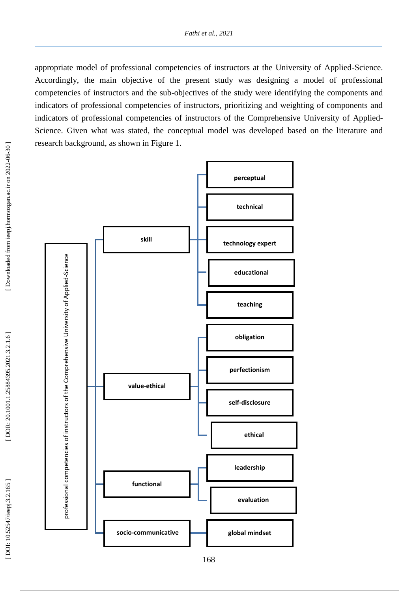appropriate model of professional competencies of instructors at the University of Applied -Science. Accordingly, the main objective of the present study was designing a model of professional competencies of instructors and the sub -objectives of the study were identifying the components and indicators of professional competencies of instructors, prioritizing and weighting of components and indicators of professional competencies of instructors of the Comprehensive University of Applied - Science. Given what was stated, the conceptual model was developed based on the literature and research background, as shown in Figure 1.

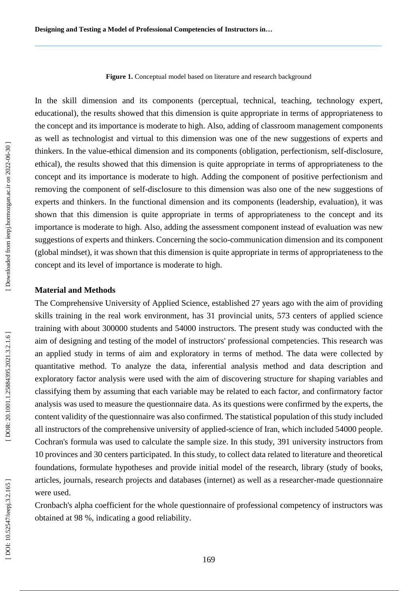**Figure 1.** Conceptual model based on literature and research background

In the skill dimension and its components (perceptual, technical, teaching, technology expert, educational), the results showed that this dimension is quite appropriate in terms of appropriateness to the concept and its importance is moderate to high. Also, adding of classroom management components as well as technologist and virtual to this dimension was one of the new suggestions of experts and thinkers. In the value -ethical dimension and its components (obligation, perfectionism, self -disclosure, ethical), the results showed that this dimension is quite appropriate in terms of appropriateness to the concept and its importance is moderate to high. Adding the component of positive perfectionism and removing the component of self-disclosure to this dimension was also one of the new suggestions of experts and thinkers. In the functional dimension and its components (leadership, evaluation), it was shown that this dimension is quite appropriate in terms of appropriateness to the concept and its importance is moderate to high. Also, adding the assessment component instead of evaluation was new suggestions of experts and thinkers. Concerning the socio -communication dimension and its component (global mindset), it was shown that this dimension is quite appropriate in terms of appropriateness to the concept and its level of importance is moderate to high.

#### **Material and Method s**

The Comprehensive University of Applied Science, established 27 years ago with the aim of providing skills training in the real work environment, has 31 provincial units, 573 centers of applied science training with about 300000 students and 54000 instructors. The present study was conducted with the aim of designing and testing of the model of instructors' professional competencies. This research was an applied study in terms of aim and exploratory in terms of method. The data were collected by quantitative method. To analyze the data, inferential analysis method and data description and exploratory factor analysis were used with the aim of discovering structure for shaping variables and classifying them by assuming that each variable may be related to each factor, and confirmatory factor analysis was used to measure the questionnaire data. As its questions were confirmed by the experts, the content validity of the questionnaire was also confirmed. The statistical population of this study included all instructors of the comprehensive university of applied -science of Iran, which included 54000 people. Cochran's formula was used to calculate the sample size. In this study, 391 university instructors from 10 provinces and 30 centers participated. In this study, to collect data related to literature and theoretical foundations, formulate hypotheses and provide initial model of the research, library (study of books, articles, journals, research projects and databases (internet) as well as a researcher -made questionnaire were used.

Cronbach's alpha coefficient for the whole questionnaire of professional competency of instructors was obtained at 98 %, indicating a good reliability.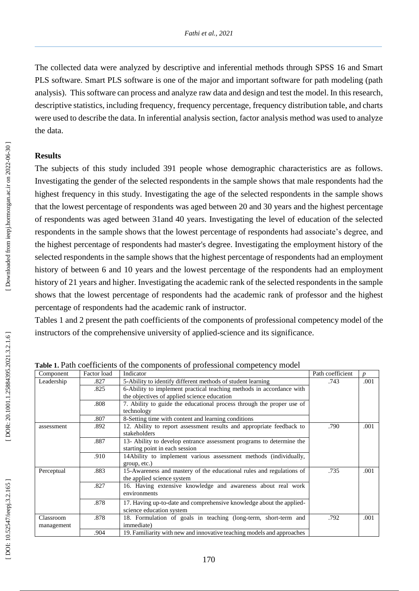The collected data were analyzed by descriptive and inferential methods through SPSS 16 and Smart PLS software. Smart PLS software is one of the major and important software for path modeling (path analysis). This software can process and analyze raw data and design and test the model. In this research, descriptive statistics, including frequency, frequency percentage, frequency distribution table, and charts were used to describe the data. In inferential analysis section, factor analysis method was used to analyze the data.

#### **Results**

The subjects of this study included 391 people whose demographic characteristics are as follows. Investigating the gender of the selected respondents in the sample shows that male respondents had the highest frequency in this study. Investigating the age of the selected respondents in the sample shows that the lowest percentage of respondents was aged between 20 and 30 years and the highest percentage of respondents was aged between 31and 40 years. Investigating the level of education of the selected respondents in the sample shows that the lowest percentage of respondents had associate's degree, and the highest percentage of respondents had master's degree. Investigating the employment history of the selected respondents in the sample shows that the highe st percentage of respondents had an employment history of between 6 and 10 years and the lowest percentage of the respondents had an employment history of 21 years and higher. Investigating the academic rank of the selected respondents in the sample shows that the lowest percentage of respondents had the academic rank of professor and the highest percentage of respondents had the academic rank of instructor.

Tables 1 and 2 present the path coefficients of the components of professional competency model of the instructors of the comprehensive university of applied -science and its significance .

| Component               | Factor load | Indicator                                                                                              | Path coefficient | $\boldsymbol{n}$ |  |
|-------------------------|-------------|--------------------------------------------------------------------------------------------------------|------------------|------------------|--|
| Leadership              | .827        | 5-Ability to identify different methods of student learning                                            | .743             | .001             |  |
|                         | .825        | 6-Ability to implement practical teaching methods in accordance with                                   |                  |                  |  |
|                         |             | the objectives of applied science education                                                            |                  |                  |  |
|                         | .808        | 7. Ability to guide the educational process through the proper use of                                  |                  |                  |  |
|                         |             | technology                                                                                             |                  |                  |  |
|                         | .807        | 8-Setting time with content and learning conditions                                                    |                  |                  |  |
| assessment              | .892        | 12. Ability to report assessment results and appropriate feedback to<br>stakeholders                   | .790             | .001             |  |
|                         | .887        | 13- Ability to develop entrance assessment programs to determine the<br>starting point in each session |                  |                  |  |
|                         | .910        | 14Ability to implement various assessment methods (individually,<br>group, etc.)                       |                  |                  |  |
| Perceptual              | .883        | 15-Awareness and mastery of the educational rules and regulations of<br>the applied science system     | .735             | .001             |  |
|                         | .827        | 16. Having extensive knowledge and awareness about real work<br>environments                           |                  |                  |  |
|                         | .878        | 17. Having up-to-date and comprehensive knowledge about the applied-                                   |                  |                  |  |
|                         |             | science education system                                                                               |                  |                  |  |
| Classroom<br>management | .878        | 18. Formulation of goals in teaching (long-term, short-term and<br>immediate)                          | .792             | .001             |  |
|                         | .904        | 19. Familiarity with new and innovative teaching models and approaches                                 |                  |                  |  |

Table 1. Path coefficients of the components of professional competency model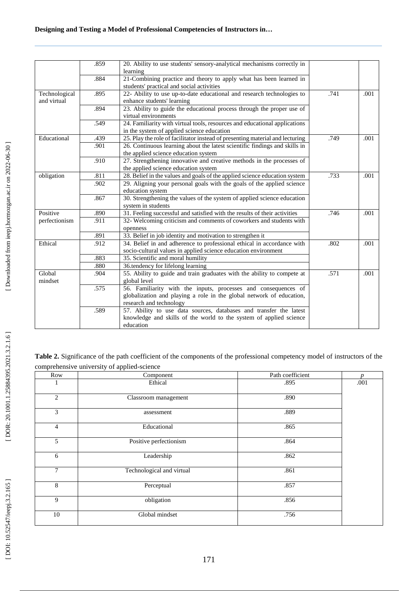|               | .859 |                                                                                                                                                                   |      |      |
|---------------|------|-------------------------------------------------------------------------------------------------------------------------------------------------------------------|------|------|
|               |      | learning                                                                                                                                                          |      |      |
|               | .884 | 21-Combining practice and theory to apply what has been learned in<br>students' practical and social activities                                                   |      |      |
| Technological | .895 | 22- Ability to use up-to-date educational and research technologies to                                                                                            | .741 | .001 |
| and virtual   |      | enhance students' learning                                                                                                                                        |      |      |
|               | .894 | 23. Ability to guide the educational process through the proper use of<br>virtual environments                                                                    |      |      |
|               | .549 | 24. Familiarity with virtual tools, resources and educational applications<br>in the system of applied science education                                          |      |      |
| Educational   | .439 | 25. Play the role of facilitator instead of presenting material and lecturing                                                                                     | .749 | .001 |
|               | .901 | 26. Continuous learning about the latest scientific findings and skills in                                                                                        |      |      |
|               |      | the applied science education system                                                                                                                              |      |      |
|               | .910 | 27. Strengthening innovative and creative methods in the processes of                                                                                             |      |      |
|               |      | the applied science education system                                                                                                                              |      |      |
| obligation    | .811 | 28. Belief in the values and goals of the applied science education system                                                                                        | .733 | .001 |
|               | .902 | 29. Aligning your personal goals with the goals of the applied science<br>education system                                                                        |      |      |
|               | .867 | 30. Strengthening the values of the system of applied science education<br>system in students                                                                     |      |      |
| Positive      | .890 | 31. Feeling successful and satisfied with the results of their activities                                                                                         |      | .001 |
| perfectionism | .911 | 32- Welcoming criticism and comments of coworkers and students with<br>openness                                                                                   |      |      |
|               | .891 | 33. Belief in job identity and motivation to strengthen it                                                                                                        |      |      |
| Ethical       | .912 | 34. Belief in and adherence to professional ethical in accordance with<br>socio-cultural values in applied science education environment                          | .802 | .001 |
|               | .883 | 35. Scientific and moral humility                                                                                                                                 |      |      |
|               | .880 | 36.tendency for lifelong learning                                                                                                                                 |      |      |
| Global        | .904 | 55. Ability to guide and train graduates with the ability to compete at<br>global level                                                                           | .571 | .001 |
| mindset       | .575 |                                                                                                                                                                   |      |      |
|               |      | 56. Familiarity with the inputs, processes and consequences of<br>globalization and playing a role in the global network of education,<br>research and technology |      |      |
|               | .589 | 57. Ability to use data sources, databases and transfer the latest<br>knowledge and skills of the world to the system of applied science<br>education             |      |      |

**Table 2.** Significance of the path coefficient of the components of the professional competency model of instructors of the comprehensive university of applied -science

| Row            | Component                 | Path coefficient | $\boldsymbol{p}$ |
|----------------|---------------------------|------------------|------------------|
| л              | Ethical                   | .895             | .001             |
| 2              | Classroom management      | .890             |                  |
| 3              | assessment                | .889             |                  |
| $\overline{4}$ | Educational               | .865             |                  |
| 5              | Positive perfectionism    | .864             |                  |
| 6              | Leadership                | .862             |                  |
| $\overline{7}$ | Technological and virtual | .861             |                  |
| 8              | Perceptual                | .857             |                  |
| 9              | obligation                | .856             |                  |
| $10\,$         | Global mindset            | .756             |                  |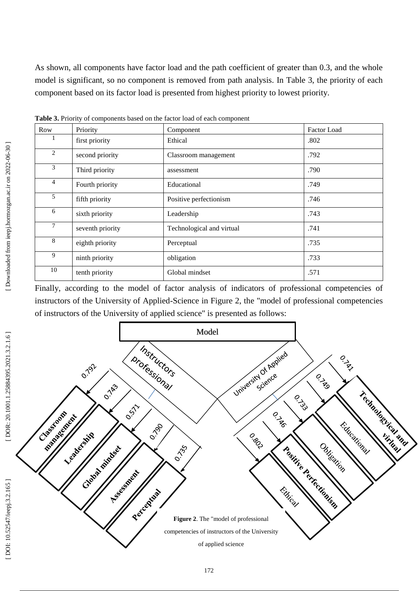As shown, all components have factor load and the path coefficient of greater than 0.3, and the whole model is significant, so no component is removed from path analysis. In Table 3, the priority of each component based on its factor load is presented from highest priority to lowest priority.

|                |                  | л.                        |             |
|----------------|------------------|---------------------------|-------------|
| Row            | Priority         | Component                 | Factor Load |
|                | first priority   | Ethical                   | .802        |
| 2              | second priority  | Classroom management      | .792        |
| 3              | Third priority   | assessment                | .790        |
| $\overline{4}$ | Fourth priority  | Educational               | .749        |
| 5              | fifth priority   | Positive perfectionism    | .746        |
| 6              | sixth priority   | Leadership                | .743        |
| 7              | seventh priority | Technological and virtual | .741        |
| 8              | eighth priority  | Perceptual                | .735        |
| 9              | ninth priority   | obligation                | .733        |
| 10             | tenth priority   | Global mindset            | .571        |

**Table 3.** Priority of components based on the factor load of each component

Finally, according to the model of factor analysis of indicators of professional competencies of instructors of the University of Applied -Science in Figure 2, the "model of professional competencies of instructors of the University of applied science" is presented as follows:

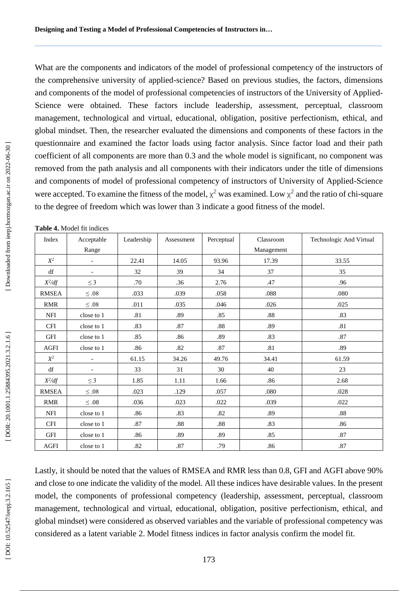What are the components and indicators of the model of professional competency of the instructors of the comprehensive university of applied -science? Based on previous studies, the factors, dimensions and components of the model of professional competencies of instructors of the University of Applied - Science were obtained. These factors include leadership, assessment, perceptual, classroom management, technological and virtual, educational, obligation, positive perfectionism, ethical, and global mindset. Then, the researcher evaluated the dimensions and components of these factors in the questionnaire and examined the factor loads using factor analysis. Since factor load and their path coefficient of all components are more than 0.3 and the whole model is significant, no component was removed from the path analysis and all components with their indicators under the title of dimensions and components of model of professional competency of instructors of University of Applied -Science were accepted. To examine the fitness of the model,  $\chi^2$  was examined. Low  $\chi^2$  and the ratio of chi-square to the degree of freedom which was lower than 3 indicate a good fitness of the model.

| Index          | Acceptable               | Leadership | Assessment | Perceptual | Classroom  | Technologic And Virtual |
|----------------|--------------------------|------------|------------|------------|------------|-------------------------|
|                | Range                    |            |            |            | Management |                         |
| $X^2$          | $\overline{\phantom{a}}$ | 22.41      | 14.05      | 93.96      | 17.39      | 33.55                   |
| df             | $\overline{\phantom{a}}$ | 32         | 39         | 34         | 37         | 35                      |
| $X^2/df$       | $\leq$ 3                 | .70        | .36        | 2.76       | .47        | .96                     |
| <b>RMSEA</b>   | $\leq .08$               | .033       | .039       | .058       | .088       | .080                    |
| <b>RMR</b>     | $\leq .08$               | .011       | .035       | .046       | .026       | .025                    |
| NFI            | close to 1               | .81        | .89        | .85        | $.88\,$    | .83                     |
| <b>CFI</b>     | close to 1               | .83        | .87        | .88        | .89        | .81                     |
| GFI            | close to 1               | .85        | .86        | .89        | .83        | .87                     |
| AGFI           | close to 1               | .86        | .82        | .87        | .81        | .89                     |
| $\mathbb{X}^2$ |                          | 61.15      | 34.26      | 49.76      | 34.41      | 61.59                   |
| df             | $\overline{\phantom{a}}$ | 33         | 31         | 30         | 40         | 23                      |
| $X^2/df$       | $\leq$ 3                 | 1.85       | 1.11       | 1.66       | .86        | 2.68                    |
| RMSEA          | $\leq .08$               | .023       | .129       | .057       | .080       | .028                    |
| <b>RMR</b>     | $\leq .08$               | .036       | .023       | .022       | .039       | .022                    |
| <b>NFI</b>     | close to 1               | .86        | .83        | .82        | .89        | .88                     |
| CFI            | close to 1               | .87        | .88        | .88        | .83        | .86                     |
| GFI            | close to 1               | .86        | .89        | .89        | .85        | $.87\,$                 |
| <b>AGFI</b>    | close to 1               | .82        | .87        | .79        | .86        | $.87$                   |

Lastly, it should be noted that the values of RMSEA and RMR less than 0.8, GFI and AGFI above 90% and close to one indicate the validity of the model. All these indices have desirable values. In the present model, the components of professional competency (leadership, assessment, perceptual, classroom management, technological and virtual, educational, obligation, positive perfectionism, ethical, and global mindset) were considered as observed variables and the variable of professional competency was considered as a latent variable 2. Model fitness indices in factor analysis confirm the model fit.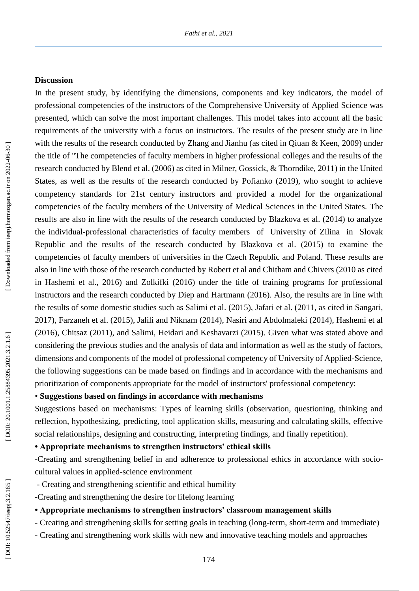#### **Discussion**

In the present study, by identifying the dimensions, components and key indicators, the model of professional competencies of the instructors of the Comprehensive University of Applied Science was presented, which can solve the most important challenges. This model takes into account all the basic requirements of the university with a focus on instructors. The results of the present study are in line with the results of the research conducted by Zhang and Jianhu (as cited in Qiuan & Keen, 2009) under the title of "The competencies of faculty members in higher professional colleges and the results of the research conducted by Blend et al. (2006) as cited in Milner, Gossick, & Thorndike, 2011) in the United States, as well as the results of the research conducted by Pofianko (2019), who sought to achieve competency standards for 21st century instructors and provided a model for the organizational competencies of the faculty members of the University of Medical Sciences in the United States. The results are also in line with the results of the research conducted by Blazkova et al. (2014) to analyze the individual -professional characteristics of faculty member s of University of Zilina in Slovak Republic and the results of the research conducted by Blazkova et al. (2015) to examine the competencies of faculty members of universities in the Czech Republic and Poland. These results are also in line with those of the research conducted by Robert et al and Chitham and Chivers (2010 as cited in Hashemi et al ., 2016) and Zolkifki (2016) under the title of training programs for professional instructors and the research conducted by Diep and Hartmann (2016). Also, the results are in line with the results of some domestic studies such as Salimi et al . (2015), Jafari et al . (2011, as cited in Sangari, 2017), Farzaneh et al . (2015), Jalili and Niknam (2014), Nasiri and Abdolmaleki (2014), Hashemi et al (2016), Chitsaz (2011), and Salimi, Heidari and Keshavarzi (2015). Given what was stated above and considering the previous studies and the analysis of data and information as well as the study of factors, dimensions and components of the model of professional competency of University of Applied -Science, the following suggestions can be made based on findings and in accordance with the mechanisms and prioritization of components appropriate for the model of instructors' professional competency:

### • **Suggestions based on findings in accordance with mechanisms**

Suggestions based on mechanisms: Types of learning skills (observation, questioning, thinking and reflection, hypothesizing, predicting, tool application skills, measuring and calculating skills, effective social relationships, designing and constructing, interpreting findings, and finally repetition) .

### **• Appropriate mechanisms to strengthen instructors' ethical skills**

-Creating and strengthening belief in and adherence to professional ethics in accordance with socio cultural values in applied -science environment

- Creating and strengthening scientific and ethical humility
- -Creating and strengthening the desire for lifelong learning

#### **• Appropriate mechanisms to strengthen instructors' classroom management skills**

- Creating and strengthening skills for setting goals in teaching (long-term, short-term and immediate)
- Creating and strengthening work skills with new and innovative teaching models and approaches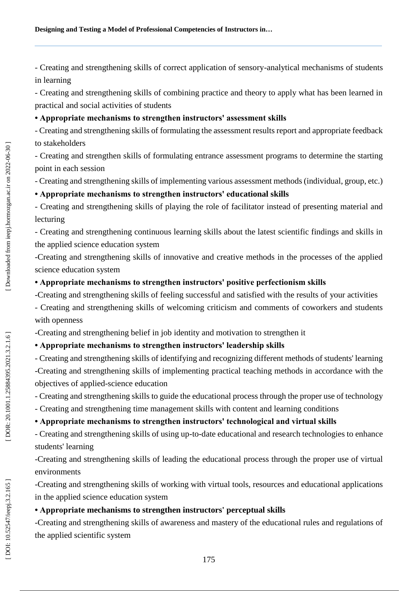- Creating and strengthening skills of correct application of sensory -analytical mechanisms of students in learning

- Creating and strengthening skills of combining practice and theory to apply what has been learned in practical and social activities of students

### **• Appropriate mechanisms to strengthen instructors' assessment skills**

- Creating and strengthening skills of formulating the assessment results report and appropriate feedback to stakeholders

- Creating and strengthen skills of formulating entrance assessment programs to determine the starting point in each session

- Creating and strengthening skills of implementing various assessment methods (individual, group, etc.)

# **• Appropriate mechanisms to strengthen instructors' educational skills**

- Creating and strengthening skills of playing the role of facilitator instead of presenting material and lecturing

- Creating and strengthening continuous learning skills about the latest scientific findings and skills in the applied science education system

-Creating and strengthening skills of innovative and creative methods in the processes of the applied science education system

## **• Appropriate mechanisms to strengthen instructors' positive perfectionism skills**

-Creating and strengthening skills of feeling successful and satisfied with the results of your activities

- Creating and strengthening skills of welcoming criticism and comments of coworkers and students with openness<br>-Creating and strengthening belief in job identity and motivation to strengthen it

# **• Appropriate mechanisms to strengthen instructors' leadership skills**

- Creating and strengthening skills of identifying and recognizing different methods of students' learning -Creating and strengthening skills of implementing practical teaching methods in accordance with the objectives of applied -science education

- Creating and strengthening skills to guide the educational process through the proper use of technology
- Creating and strengthening time management skills with content and learning conditions

# **• Appropriate mechanisms to strengthen instructors' technological and virtual skills**

- Creating and strengthening skills of using up-to-date educational and research technologies to enhance students' learning

-Creating and strengthening skills of leading the educational process through the proper use of virtual environments

-Creating and strengthening skills of working with virtual tools, resources and educational applications in the applied science education system

# **• Appropriate mechanisms to strengthen instructors' perceptual skills**

-Creating and strengthening skills of awareness and mastery of the educational rules and regulations of the applied scientific system

DOR: 20.1001.1.25884395.2021.3.2.1.6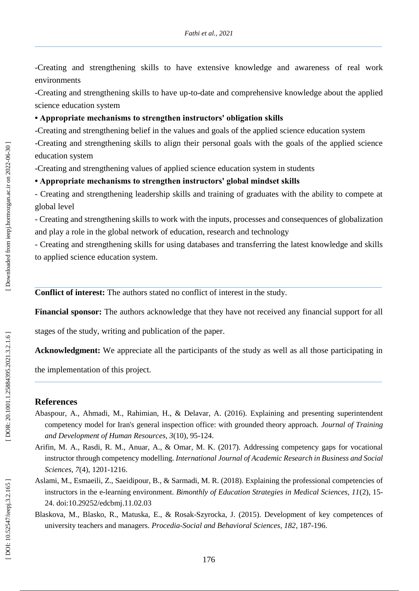-Creating and strengthening skills to have extensive knowledge and awareness of real work environments

-Creating and strengthening skills to have up -to -date and comprehensive knowledge about the applied science education system

### **• Appropriate mechanisms to strengthen instructors' obligation skills**

-Creating and strengthening belief in the values and goals of the applied science education system

-Creating and strengthening skills to align their personal goals with the goals of the applied science education system

-Creating and strengthening values of applied science education system in students

### **• Appropriate mechanisms to strengthen instructors' global mindset skills**

- Creating and strengthening leadership skills and training of graduates with the ability to compete at global level

- Creating and strengthening skills to work with the inputs, processes and consequences of globalization and play a role in the global network of education, research and technology

- Creating and strengthening skills for using databases and transferring the latest knowledge and skills to applied science education system .

**Conflict of interest:** The authors state d no conflict of interest in the study.

**Financial sponsor:** The authors acknowledge that they have not received any financial support for all

stages of the study, writing and publication of the paper.

**Acknowledgment:** We appreciate all the participants of the study as well as all those participating in

the implementation of this project.

### **References**

- Abaspour, A., Ahmadi, M., Rahimian, H., & Delavar, A. (2016). Explaining and presenting superintendent competency model for Iran's general inspection office: with grounded theory approach. *Journal of Training and Development of Human Resources, 3*(10), 95 -124.
- Arifin, M. A., Rasdi, R. M., Anuar, A., & Omar, M. K. (2017). Addressing competency gaps for vocational instructor through competency modelling. *International Journal of Academic Research in Business and Social Sciences, 7*(4), 1201 -1216.
- Aslami, M., Esmaeili, Z., Saeidipour, B., & Sarmadi, M. R. (2018). Explaining the professional competencies of instructors in the e-learning environment. *Bimonthly of Education Strategies in Medical Sciences*, 11(2), 15-24. doi:10.29252/edcbmj.11.02.03
- Blaskova, M., Blasko, R., Matuska, E., & Rosak -Szyrocka, J. (2015). Development of key competences of university teachers and managers. *Procedia -Social and Behavioral Sciences, 182*, 187 -196.